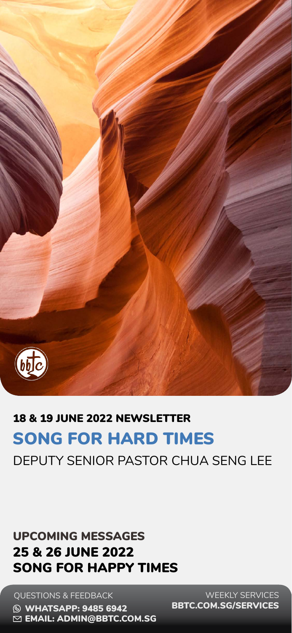QUESTIONS & FEEDBACK



### SONG FOR HARD TIMES DEPUTY SENIOR PASTOR CHUA SENG LEE 18 & 19 JUNE 2022 NEWSLETTER

**& WHATSAPP: 9485 6942 区 EMAIL: [ADMIN@BBTC.COM.SG](mailto:admin%40bbtc.com.sg?subject=)** 

#### 25 & 26 JUNE 2022 SONG FOR HAPPY TIMES UPCOMING MESSAGES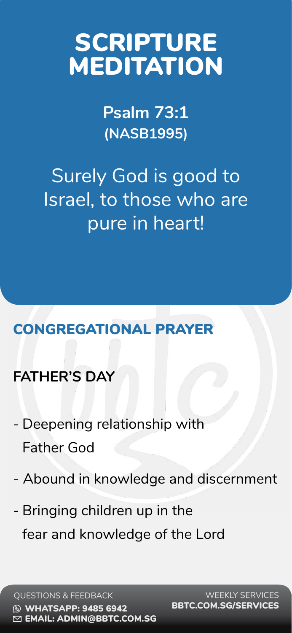

### CONGREGATIONAL PRAYER

### **FATHER'S DAY**

Surely God is good to Israel, to those who are pure in heart!

- Deepening relationship with

Father God

- Abound in knowledge and discernment
- Bringing children up in the
	- fear and knowledge of the Lord

**Psalm 73:1 (NASB1995)** 

# SCRIPTURE MEDITATION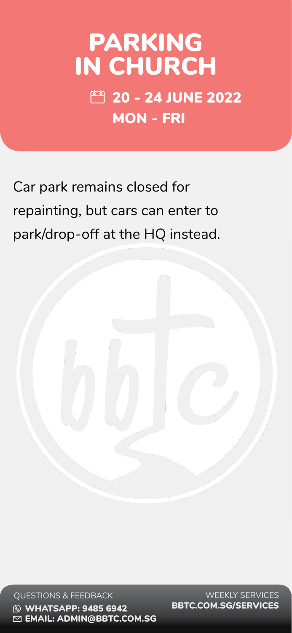#### QUESTIONS & FEEDBACK **S WHATSAPP: 9485 6942** EMAIL: [ADMIN@BBTC.COM.SG](mailto:admin%40bbtc.com.sg?subject=)

Car park remains closed for repainting, but cars can enter to

#### park/drop-off at the HQ instead.



## PARKING IN CHURCH **20 - 24 JUNE 2022** MON - FRI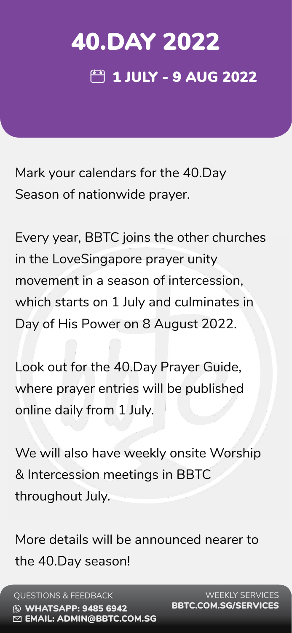

Mark your calendars for the 40.Day Season of nationwide prayer.

# 40.DAY 2022 **MB** 1 JULY - 9 AUG 2022

Every year, BBTC joins the other churches in the LoveSingapore prayer unity movement in a season of intercession, which starts on 1 July and culminates in Day of His Power on 8 August 2022. Look out for the 40.Day Prayer Guide, where prayer entries will be published online daily from 1 July.

We will also have weekly onsite Worship

& Intercession meetings in BBTC

throughout July.

### More details will be announced nearer to the 40.Day season!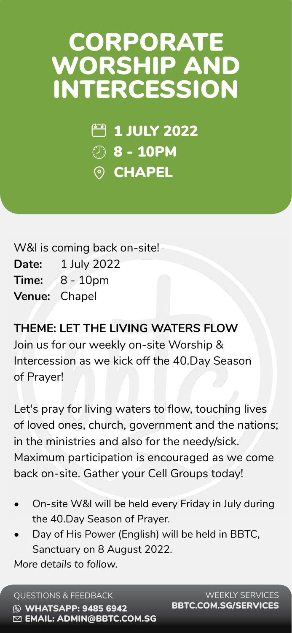QUESTIONS & FEEDBACK **& WHATSAPP: 9485 6942** EMAIL: [ADMIN@BBTC.COM.SG](mailto:admin%40bbtc.com.sg?subject=)



W&I is coming back on-site!

# CORPORATE WORSHIP AND INTERCESSION

**Date:** 1 July 2022

**Time:** 8 - 10pm

**Venue:** Chapel

**THEME: LET THE LIVING WATERS FLOW** Join us for our weekly on-site Worship & Intercession as we kick off the 40.Day Season of Prayer!

Let's pray for living waters to flow, touching lives of loved ones, church, government and the nations; in the ministries and also for the needy/sick. Maximum participation is encouraged as we come

#### back on-site. Gather your Cell Groups today!

- On-site W&I will be held every Friday in July during the 40.Day Season of Prayer.
- Day of His Power (English) will be held in BBTC, Sanctuary on 8 August 2022. *More details to follow.*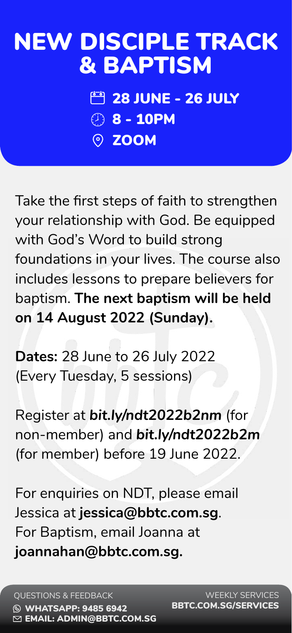QUESTIONS & FEEDBACK **S WHATSAPP: 9485 6942** EMAIL: [ADMIN@BBTC.COM.SG](mailto:admin%40bbtc.com.sg?subject=)

Take the first steps of faith to strengthen your relationship with God. Be equipped

with God's Word to build strong foundations in your lives. The course also includes lessons to prepare believers for baptism. **The next baptism will be held on 14 August 2022 (Sunday).**

**28 JUNE - 26 JULY** 8 - 10PM ZOOM

**Dates:** 28 June to 26 July 2022 (Every Tuesday, 5 sessions)

Register at *[bit.ly/ndt2022b2nm](http://bit.ly/ndt2022b1nm)* (for non-member) and *[bit.ly/ndt2022b2m](http://bit.ly/ndt2022b1m)* (for member) before 19 June 2022.

### For enquiries on NDT, please email Jessica at **[jessica@bbtc.com.sg](mailto:jessica%40bbtc.com.sg?subject=)**. For Baptism, email Joanna at **[joannahan@bbtc.com.sg.](mailto:joannahan%40bbtc.com.sg?subject=)**

# NEW DISCIPLE TRACK & BAPTISM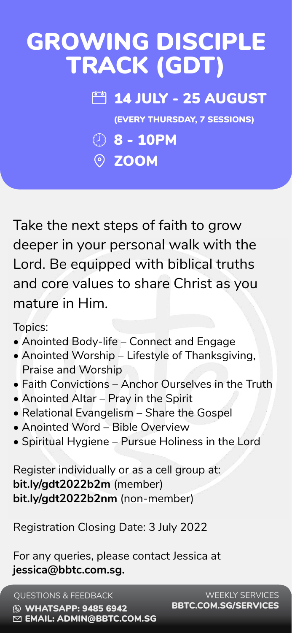QUESTIONS & FEEDBACK **S WHATSAPP: 9485 6942** EMAIL: [ADMIN@BBTC.COM.SG](mailto:admin%40bbtc.com.sg?subject=)

Take the next steps of faith to grow

deeper in your personal walk with the Lord. Be equipped with biblical truths and core values to share Christ as you mature in Him.

Topics:

8 - 10PM O ZOOM

- Anointed Body-life Connect and Engage
- Anointed Worship Lifestyle of Thanksgiving, Praise and Worship
- Faith Convictions Anchor Ourselves in the Truth
- Anointed Altar Pray in the Spirit
- Relational Evangelism Share the Gospel
- Anointed Word Bible Overview
- Spiritual Hygiene Pursue Holiness in the Lord

Register individually or as a cell group at: **<bit.ly/gdt2022b2m>** (member) **[bit.ly/gdt2022b2nm](https://bit.ly/gdt2022b2nm)** (non-member)

Registration Closing Date: 3 July 2022

For any queries, please contact Jessica at **jessica@bbtc.com.sg.**

# GROWING DISCIPLE TRACK (GDT)

### **14 JULY - 25 AUGUST**

(EVERY THURSDAY, 7 SESSIONS)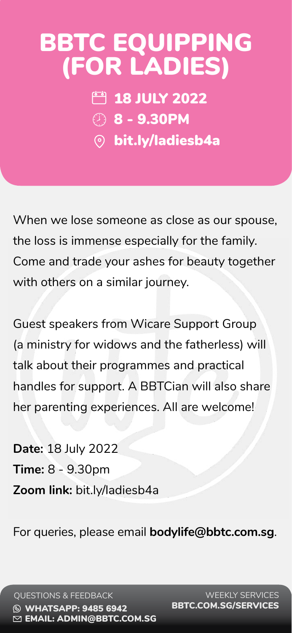

When we lose someone as close as our spouse,

the loss is immense especially for the family.

Come and trade your ashes for beauty together with others on a similar journey.

FB 18 JULY 2022 8 - 9.30PM [bit.ly/ladiesb4a](https://bit.ly/ladiesb4a )

Guest speakers from Wicare Support Group (a ministry for widows and the fatherless) will talk about their programmes and practical handles for support. A BBTCian will also share her parenting experiences. All are welcome!

**Date:** 18 July 2022

#### **Time:** 8 - 9.30pm

**Zoom link:** [bit.ly/ladiesb4a](https://bit.ly/ladiesb4a)

#### For queries, please email **bodylife@bbtc.com.sg**.

# BBTC EQUIPPING (FOR LADIES)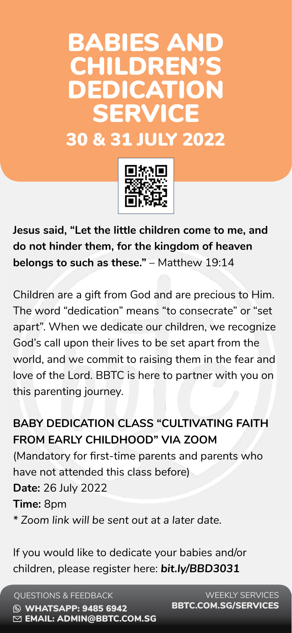QUESTIONS & FEEDBACK **S WHATSAPP: 9485 6942** EMAIL: [ADMIN@BBTC.COM.SG](mailto:admin%40bbtc.com.sg?subject=)

**Jesus said, "Let the little children come to me, and** 

**do not hinder them, for the kingdom of heaven belongs to such as these."** – Matthew 19:14

Children are a gift from God and are precious to Him. The word "dedication" means "to consecrate" or "set apart". When we dedicate our children, we recognize God's call upon their lives to be set apart from the world, and we commit to raising them in the fear and love of the Lord. BBTC is here to partner with you on this parenting journey.

**BABY DEDICATION CLASS "CULTIVATING FAITH FROM EARLY CHILDHOOD" VIA ZOOM** (Mandatory for first-time parents and parents who

have not attended this class before) **Date:** 26 July 2022

**Time:** 8pm

*\* Zoom link will be sent out at a later date.* 

If you would like to dedicate your babies and/or children, please register here: *[bit.ly/BBD3031](https://bit.ly/BBD3031 )*

## BABIES AND CHILDREN'S DEDICATION SERVICE 30 & 31 JULY 2022

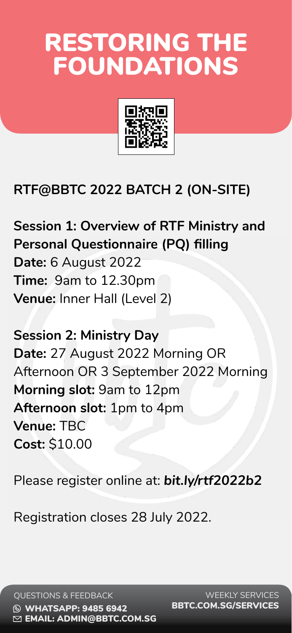

### **RTF@BBTC 2022 BATCH 2 (ON-SITE)**

#### **Session 1: Overview of RTF Ministry and**

**Personal Questionnaire (PQ) filling Date:** 6 August 2022 **Time:** 9am to 12.30pm **Venue:** Inner Hall (Level 2)

**Session 2: Ministry Day Date:** 27 August 2022 Morning OR Afternoon OR 3 September 2022 Morning **Morning slot:** 9am to 12pm **Afternoon slot:** 1pm to 4pm **Venue:** TBC **Cost:** \$10.00

Please register online at: *[bit.ly/rtf2022b2](https://bit.ly/rtf2022b2 )*

#### Registration closes 28 July 2022.

# RESTORING THE FOUNDATIONS

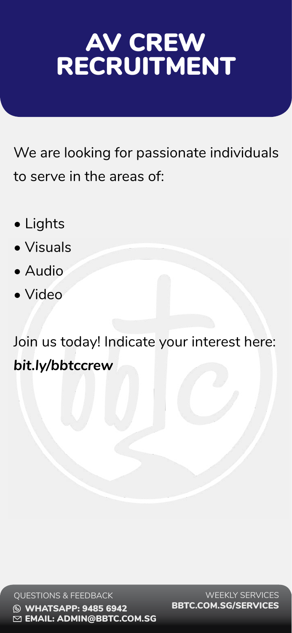

#### QUESTIONS & FEEDBACK **& WHATSAPP: 9485 6942** EMAIL: [ADMIN@BBTC.COM.SG](mailto:admin%40bbtc.com.sg?subject=)

We are looking for passionate individuals to serve in the areas of:

- Lights
- Visuals
- Audio
- Video

## Join us today! Indicate your interest here: *<bit.ly/bbtccrew>*

# AV CREW RECRUITMENT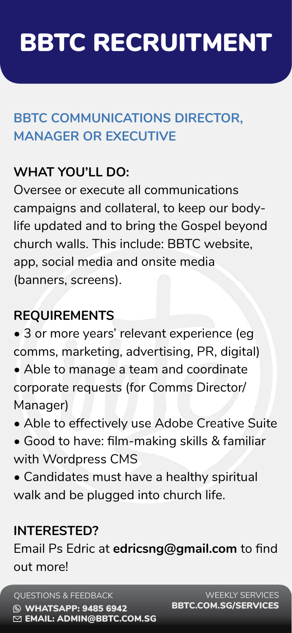QUESTIONS & FEEDBACK **& WHATSAPP: 9485 6942** EMAIL: [ADMIN@BBTC.COM.SG](mailto:admin%40bbtc.com.sg?subject=)

### **BBTC COMMUNICATIONS DIRECTOR, MANAGER OR EXECUTIVE**

### **WHAT YOU'LL DO:**

Oversee or execute all communications campaigns and collateral, to keep our bodylife updated and to bring the Gospel beyond

church walls. This include: BBTC website, app, social media and onsite media (banners, screens).

### **REQUIREMENTS**

- 3 or more years' relevant experience (eg comms, marketing, advertising, PR, digital) • Able to manage a team and coordinate corporate requests (for Comms Director/ Manager)
- Able to effectively use Adobe Creative Suite
- Good to have: film-making skills & familiar with Wordpress CMS

• Candidates must have a healthy spiritual walk and be plugged into church life.

### **INTERESTED?**

### Email Ps Edric at **edricsng@gmail.com** to find out more!

# BBTC RECRUITMENT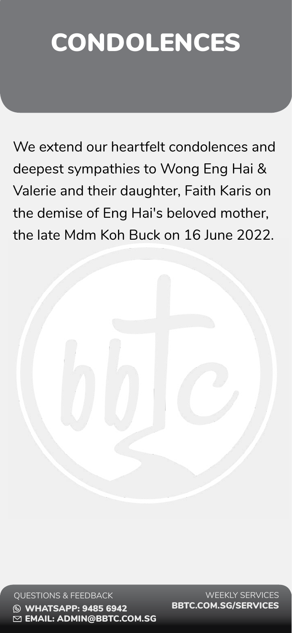

#### QUESTIONS & FEEDBACK **& WHATSAPP: 9485 6942** EMAIL: [ADMIN@BBTC.COM.SG](mailto:admin%40bbtc.com.sg?subject=)

We extend our heartfelt condolences and deepest sympathies to Wong Eng Hai & Valerie and their daughter, Faith Karis on the demise of Eng Hai's beloved mother,

#### the late Mdm Koh Buck on 16 June 2022.

# CONDOLENCES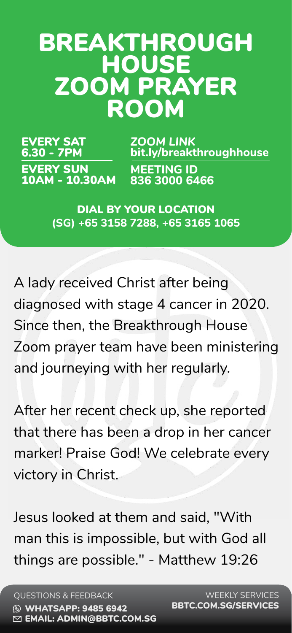QUESTIONS & FEEDBACK **& WHATSAPP: 9485 6942** EMAIL: [ADMIN@BBTC.COM.SG](mailto:admin%40bbtc.com.sg?subject=)

## BREAKTHROUGH HOUSE ZOOM PRAYER ROOM

*ZOOM LINK* **[bit.ly/breakthroughhouse](http://bit.ly/breakthroughhouse)**

EVERY SAT

6.30 - 7PM

## DIAL BY YOUR LOCATION **(SG) +65 3158 7288, +65 3165 1065**

EVERY SUN 10AM - 10.30AM **MEETING ID 836 3000 6466**

A lady received Christ after being diagnosed with stage 4 cancer in 2020. Since then, the Breakthrough House Zoom prayer team have been ministering and journeying with her regularly.

After her recent check up, she reported that there has been a drop in her cancer marker! Praise God! We celebrate every



## Jesus looked at them and said, "With man this is impossible, but with God all things are possible." - Matthew 19:26